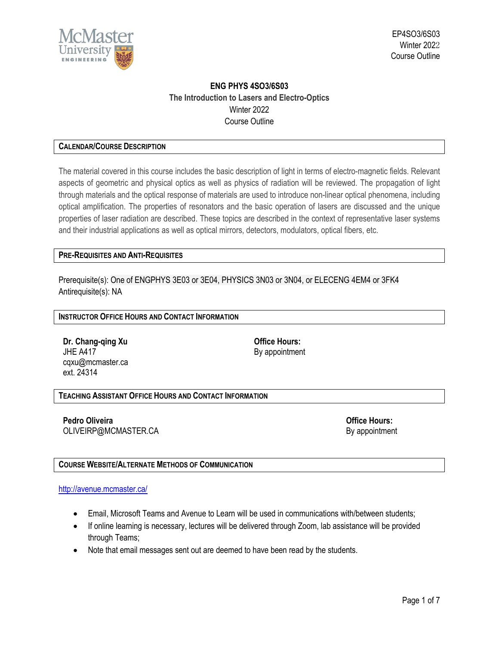

# **ENG PHYS 4SO3/6S03 The Introduction to Lasers and Electro-Optics** Winter 2022 Course Outline

# **CALENDAR/COURSE DESCRIPTION**

The material covered in this course includes the basic description of light in terms of electro-magnetic fields. Relevant aspects of geometric and physical optics as well as physics of radiation will be reviewed. The propagation of light through materials and the optical response of materials are used to introduce non-linear optical phenomena, including optical amplification. The properties of resonators and the basic operation of lasers are discussed and the unique properties of laser radiation are described. These topics are described in the context of representative laser systems and their industrial applications as well as optical mirrors, detectors, modulators, optical fibers, etc.

# **PRE-REQUISITES AND ANTI-REQUISITES**

Prerequisite(s): One of ENGPHYS 3E03 or [3E04,](https://academiccalendars.romcmaster.ca/content.php?filter%5B27%5D=ENGPHYS&filter%5B29%5D=4s03&filter%5Bcourse_type%5D=-1&filter%5Bkeyword%5D=&filter%5B32%5D=1&filter%5Bcpage%5D=1&cur_cat_oid=44&expand=&navoid=9045&search_database=Filter#tt7584) PHYSICS 3N03 o[r 3N04,](https://academiccalendars.romcmaster.ca/content.php?filter%5B27%5D=ENGPHYS&filter%5B29%5D=4s03&filter%5Bcourse_type%5D=-1&filter%5Bkeyword%5D=&filter%5B32%5D=1&filter%5Bcpage%5D=1&cur_cat_oid=44&expand=&navoid=9045&search_database=Filter#tt2619) or [ELECENG](https://academiccalendars.romcmaster.ca/content.php?filter%5B27%5D=ENGPHYS&filter%5B29%5D=4s03&filter%5Bcourse_type%5D=-1&filter%5Bkeyword%5D=&filter%5B32%5D=1&filter%5Bcpage%5D=1&cur_cat_oid=44&expand=&navoid=9045&search_database=Filter#tt5249) 4EM4 or [3FK4](https://academiccalendars.romcmaster.ca/content.php?filter%5B27%5D=ENGPHYS&filter%5B29%5D=4s03&filter%5Bcourse_type%5D=-1&filter%5Bkeyword%5D=&filter%5B32%5D=1&filter%5Bcpage%5D=1&cur_cat_oid=44&expand=&navoid=9045&search_database=Filter#tt9312) Antirequisite(s): NA

# **INSTRUCTOR OFFICE HOURS AND CONTACT INFORMATION**

**Dr. Chang-qing Xu Office Hours:** JHE A417 By appointment cqxu@mcmaster.ca ext. 24314

### **TEACHING ASSISTANT OFFICE HOURS AND CONTACT INFORMATION**

**Pedro Oliveira Office Hours:** OLIVEIRP@MCMASTER.CA By appointment

# **COURSE WEBSITE/ALTERNATE METHODS OF COMMUNICATION**

#### <http://avenue.mcmaster.ca/>

- Email, Microsoft Teams and Avenue to Learn will be used in communications with/between students;
- If online learning is necessary, lectures will be delivered through Zoom, lab assistance will be provided through Teams;
- Note that email messages sent out are deemed to have been read by the students.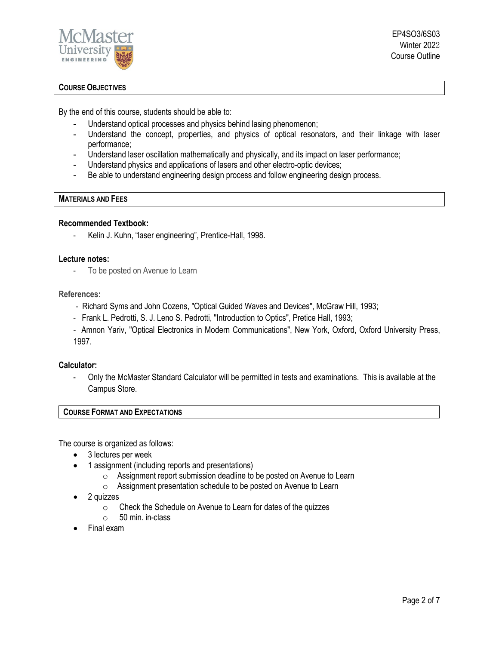

EP4SO3/6S03 Winter 2022 Course Outline

# **COURSE OBJECTIVES**

By the end of this course, students should be able to:

- Understand optical processes and physics behind lasing phenomenon;
- Understand the concept, properties, and physics of optical resonators, and their linkage with laser performance;
- Understand laser oscillation mathematically and physically, and its impact on laser performance;
- Understand physics and applications of lasers and other electro-optic devices;
- Be able to understand engineering design process and follow engineering design process.

# **MATERIALS AND FEES**

### **Recommended Textbook:**

Kelin J. Kuhn, "laser engineering", Prentice-Hall, 1998.

### **Lecture notes:**

- To be posted on Avenue to Learn

## **References:**

- Richard Syms and John Cozens, "Optical Guided Waves and Devices", McGraw Hill, 1993;
- Frank L. Pedrotti, S. J. Leno S. Pedrotti, "Introduction to Optics", Pretice Hall, 1993;
- Amnon Yariv, "Optical Electronics in Modern Communications", New York, Oxford, Oxford University Press, 1997.

### **Calculator:**

- Only the McMaster Standard Calculator will be permitted in tests and examinations. This is available at the Campus Store.

### **COURSE FORMAT AND EXPECTATIONS**

The course is organized as follows:

- 3 lectures per week
- 1 assignment (including reports and presentations)
	- o Assignment report submission deadline to be posted on Avenue to Learn
	- o Assignment presentation schedule to be posted on Avenue to Learn
- 2 quizzes
	- $\circ$  Check the Schedule on Avenue to Learn for dates of the quizzes  $\circ$  50 min. in-class
	- 50 min. in-class
- Final exam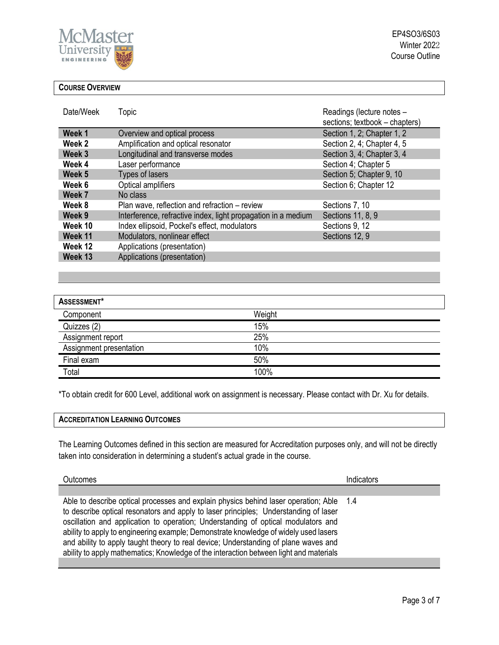

# **COURSE OVERVIEW**

| Date/Week | <b>Topic</b>                                                  | Readings (lecture notes -<br>sections; textbook - chapters) |
|-----------|---------------------------------------------------------------|-------------------------------------------------------------|
| Week 1    | Overview and optical process                                  | Section 1, 2; Chapter 1, 2                                  |
| Week 2    | Amplification and optical resonator                           | Section 2, 4; Chapter 4, 5                                  |
| Week 3    | Longitudinal and transverse modes                             | Section 3, 4; Chapter 3, 4                                  |
| Week 4    | Laser performance                                             | Section 4; Chapter 5                                        |
| Week 5    | Types of lasers                                               | Section 5; Chapter 9, 10                                    |
| Week 6    | Optical amplifiers                                            | Section 6; Chapter 12                                       |
| Week 7    | No class                                                      |                                                             |
| Week 8    | Plan wave, reflection and refraction – review                 | Sections 7, 10                                              |
| Week 9    | Interference, refractive index, light propagation in a medium | Sections 11, 8, 9                                           |
| Week 10   | Index ellipsoid, Pockel's effect, modulators                  | Sections 9, 12                                              |
| Week 11   | Modulators, nonlinear effect                                  | Sections 12, 9                                              |
| Week 12   | Applications (presentation)                                   |                                                             |
| Week 13   | Applications (presentation)                                   |                                                             |

| ASSESSMENT*             |        |  |  |  |
|-------------------------|--------|--|--|--|
| Component               | Weight |  |  |  |
| Quizzes (2)             | 15%    |  |  |  |
| Assignment report       | 25%    |  |  |  |
| Assignment presentation | 10%    |  |  |  |
| Final exam              | 50%    |  |  |  |
| Total                   | 100%   |  |  |  |

\*To obtain credit for 600 Level, additional work on assignment is necessary. Please contact with Dr. Xu for details.

The Learning Outcomes defined in this section are measured for Accreditation purposes only, and will not be directly taken into consideration in determining a student's actual grade in the course.

| Outcomes                                                                                                                                                                                                                                                                                                                                                                                                                                                                                                                                      | Indicators |
|-----------------------------------------------------------------------------------------------------------------------------------------------------------------------------------------------------------------------------------------------------------------------------------------------------------------------------------------------------------------------------------------------------------------------------------------------------------------------------------------------------------------------------------------------|------------|
|                                                                                                                                                                                                                                                                                                                                                                                                                                                                                                                                               |            |
| Able to describe optical processes and explain physics behind laser operation; Able 1.4<br>to describe optical resonators and apply to laser principles; Understanding of laser<br>oscillation and application to operation; Understanding of optical modulators and<br>ability to apply to engineering example; Demonstrate knowledge of widely used lasers<br>and ability to apply taught theory to real device; Understanding of plane waves and<br>ability to apply mathematics; Knowledge of the interaction between light and materials |            |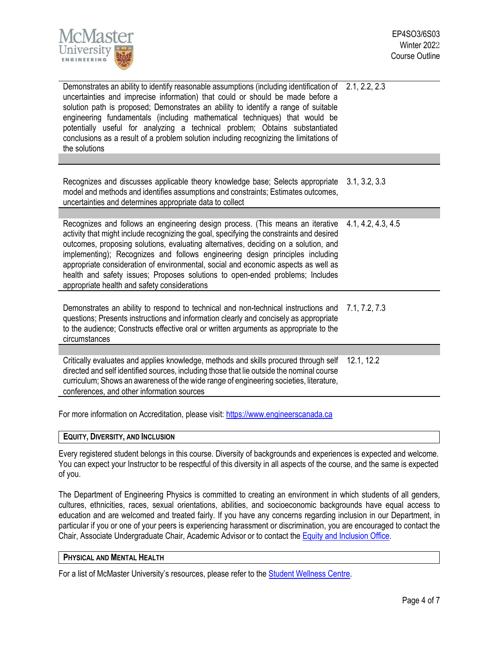

| Demonstrates an ability to identify reasonable assumptions (including identification of 2.1, 2.2, 2.3<br>uncertainties and imprecise information) that could or should be made before a<br>solution path is proposed; Demonstrates an ability to identify a range of suitable<br>engineering fundamentals (including mathematical techniques) that would be<br>potentially useful for analyzing a technical problem; Obtains substantiated<br>conclusions as a result of a problem solution including recognizing the limitations of<br>the solutions                     |                    |
|---------------------------------------------------------------------------------------------------------------------------------------------------------------------------------------------------------------------------------------------------------------------------------------------------------------------------------------------------------------------------------------------------------------------------------------------------------------------------------------------------------------------------------------------------------------------------|--------------------|
|                                                                                                                                                                                                                                                                                                                                                                                                                                                                                                                                                                           |                    |
| Recognizes and discusses applicable theory knowledge base; Selects appropriate<br>model and methods and identifies assumptions and constraints; Estimates outcomes,<br>uncertainties and determines appropriate data to collect                                                                                                                                                                                                                                                                                                                                           | 3.1, 3.2, 3.3      |
|                                                                                                                                                                                                                                                                                                                                                                                                                                                                                                                                                                           |                    |
| Recognizes and follows an engineering design process. (This means an iterative<br>activity that might include recognizing the goal, specifying the constraints and desired<br>outcomes, proposing solutions, evaluating alternatives, deciding on a solution, and<br>implementing); Recognizes and follows engineering design principles including<br>appropriate consideration of environmental, social and economic aspects as well as<br>health and safety issues; Proposes solutions to open-ended problems; Includes<br>appropriate health and safety considerations | 4.1, 4.2, 4.3, 4.5 |
| Demonstrates an ability to respond to technical and non-technical instructions and<br>questions; Presents instructions and information clearly and concisely as appropriate<br>to the audience; Constructs effective oral or written arguments as appropriate to the<br>circumstances                                                                                                                                                                                                                                                                                     | 7.1, 7.2, 7.3      |
|                                                                                                                                                                                                                                                                                                                                                                                                                                                                                                                                                                           |                    |
| Critically evaluates and applies knowledge, methods and skills procured through self<br>directed and self identified sources, including those that lie outside the nominal course<br>curriculum; Shows an awareness of the wide range of engineering societies, literature,<br>conferences, and other information sources                                                                                                                                                                                                                                                 | 12.1, 12.2         |
|                                                                                                                                                                                                                                                                                                                                                                                                                                                                                                                                                                           |                    |

For more information on Accreditation, please visit[: https://www.engineerscanada.ca](https://www.engineerscanada.ca/)

## **EQUITY, DIVERSITY, AND INCLUSION**

Every registered student belongs in this course. Diversity of backgrounds and experiences is expected and welcome. You can expect your Instructor to be respectful of this diversity in all aspects of the course, and the same is expected of you.

The Department of Engineering Physics is committed to creating an environment in which students of all genders, cultures, ethnicities, races, sexual orientations, abilities, and socioeconomic backgrounds have equal access to education and are welcomed and treated fairly. If you have any concerns regarding inclusion in our Department, in particular if you or one of your peers is experiencing harassment or discrimination, you are encouraged to contact the Chair, Associate Undergraduate Chair, Academic Advisor or to contact the Equity and [Inclusion](https://equity.mcmaster.ca/) Office.

### **PHYSICAL AND MENTAL HEALTH**

For a list of McMaster University's resources, please refer to the **Student Wellness Centre**.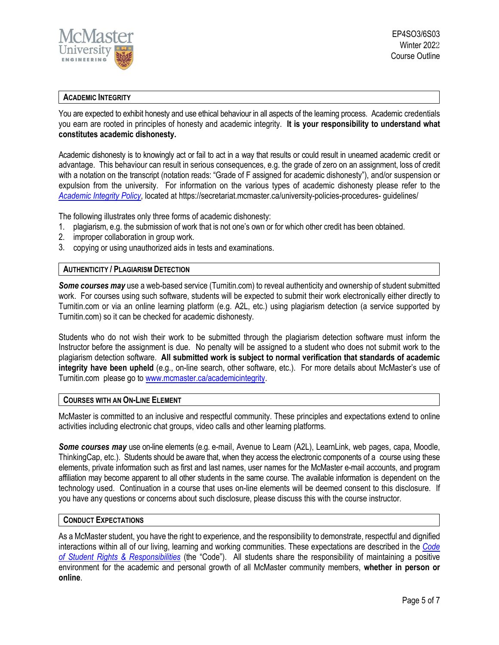

# **ACADEMIC INTEGRITY**

You are expected to exhibit honesty and use ethical behaviour in all aspects of the learning process. Academic credentials you earn are rooted in principles of honesty and academic integrity. **It is your responsibility to understand what constitutes academic dishonesty.**

Academic dishonesty is to knowingly act or fail to act in a way that results or could result in unearned academic credit or advantage. This behaviour can result in serious consequences, e.g. the grade of zero on an assignment, loss of credit with a notation on the transcript (notation reads: "Grade of F assigned for academic dishonesty"), and/or suspension or expulsion from the university. For information on the various types of academic dishonesty please refer to the *[Academic Integrity Policy](https://secretariat.mcmaster.ca/app/uploads/Academic-Integrity-Policy-1-1.pdf)*, located at https://secretariat.mcmaster.ca/university-policies-procedures- guidelines/

The following illustrates only three forms of academic dishonesty:

- 1. plagiarism, e.g. the submission of work that is not one's own or for which other credit has been obtained.
- 2. improper collaboration in group work.
- 3. copying or using unauthorized aids in tests and examinations.

### **AUTHENTICITY / PLAGIARISM DETECTION**

*Some courses may* use a web-based service (Turnitin.com) to reveal authenticity and ownership of student submitted work. For courses using such software, students will be expected to submit their work electronically either directly to Turnitin.com or via an online learning platform (e.g. A2L, etc.) using plagiarism detection (a service supported by Turnitin.com) so it can be checked for academic dishonesty.

Students who do not wish their work to be submitted through the plagiarism detection software must inform the Instructor before the assignment is due. No penalty will be assigned to a student who does not submit work to the plagiarism detection software. **All submitted work is subject to normal verification that standards of academic integrity have been upheld** (e.g., on-line search, other software, etc.). For more details about McMaster's use of Turnitin.com please go t[o www.mcmaster.ca/academicintegrity.](http://www.mcmaster.ca/academicintegrity)

### **COURSES WITH AN ON-LINE ELEMENT**

McMaster is committed to an inclusive and respectful community. These principles and expectations extend to online activities including electronic chat groups, video calls and other learning platforms.

*Some courses may* use on-line elements (e.g. e-mail, Avenue to Learn (A2L), LearnLink, web pages, capa, Moodle, ThinkingCap, etc.). Students should be aware that, when they access the electronic components of a course using these elements, private information such as first and last names, user names for the McMaster e-mail accounts, and program affiliation may become apparent to all other students in the same course. The available information is dependent on the technology used. Continuation in a course that uses on-line elements will be deemed consent to this disclosure. If you have any questions or concerns about such disclosure, please discuss this with the course instructor.

### **CONDUCT EXPECTATIONS**

As a McMaster student, you have the right to experience, and the responsibility to demonstrate, respectful and dignified interactions within all of our living, learning and working communities. These expectations are described in the *[Code](https://secretariat.mcmaster.ca/app/uploads/Code-of-Student-Rights-and-Responsibilities.pdf) of Student Rights & [Responsibilities](https://secretariat.mcmaster.ca/app/uploads/Code-of-Student-Rights-and-Responsibilities.pdf)* (the "Code"). All students share the responsibility of maintaining a positive environment for the academic and personal growth of all McMaster community members, **whether in person or online**.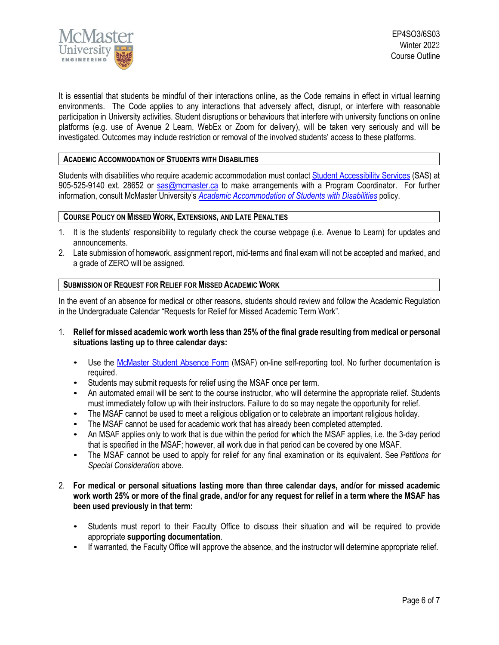

It is essential that students be mindful of their interactions online, as the Code remains in effect in virtual learning environments. The Code applies to any interactions that adversely affect, disrupt, or interfere with reasonable participation in University activities. Student disruptions or behaviours that interfere with university functions on online platforms (e.g. use of Avenue 2 Learn, WebEx or Zoom for delivery), will be taken very seriously and will be investigated. Outcomes may include restriction or removal of the involved students' access to these platforms.

# **ACADEMIC ACCOMMODATION OF STUDENTS WITH DISABILITIES**

Students with disabilities who require academic accommodation must contact Student [Accessibility Services](https://sas.mcmaster.ca/) (SAS) at 905-525-9140 ext. 28652 or [sas@mcmaster.ca](mailto:sas@mcmaster.ca) to make arrangements with a Program Coordinator. For further information, consult McMaster University's *[Academic Accommodation](https://secretariat.mcmaster.ca/app/uploads/Academic-Accommodations-Policy.pdf) of Students with Disabilities* policy.

### **COURSE POLICY ON MISSED WORK, EXTENSIONS, AND LATE PENALTIES**

- 1. It is the students' responsibility to regularly check the course webpage (i.e. Avenue to Learn) for updates and announcements.
- 2. Late submission of homework, assignment report, mid-terms and final exam will not be accepted and marked, and a grade of ZERO will be assigned.

### **SUBMISSION OF REQUEST FOR RELIEF FOR MISSED ACADEMIC WORK**

In the event of an absence for medical or other reasons, students should review and follow the Academic Regulation in the Undergraduate Calendar "Requests for Relief for Missed Academic Term Work".

- 1. **Relief for missed academic work worth less than 25% of the final grade resulting from medical or personal situations lasting up to three calendar days:**
	- Use the [McMaster Student Absence Form](http://mcmaster.ca/msaf/) (MSAF) on-line self-reporting tool. No further documentation is required.
	- Students may submit requests for relief using the MSAF once per term.
	- An automated email will be sent to the course instructor, who will determine the appropriate relief. Students must immediately follow up with their instructors. Failure to do so may negate the opportunity for relief.
	- The MSAF cannot be used to meet a religious obligation or to celebrate an important religious holiday.
	- The MSAF cannot be used for academic work that has already been completed attempted.
	- An MSAF applies only to work that is due within the period for which the MSAF applies, i.e. the 3-day period that is specified in the MSAF; however, all work due in that period can be covered by one MSAF.
	- The MSAF cannot be used to apply for relief for any final examination or its equivalent. See *Petitions for Special Consideration* above.
- 2. **For medical or personal situations lasting more than three calendar days, and/or for missed academic work worth 25% or more of the final grade, and/or for any request for relief in a term where the MSAF has been used previously in that term:**
	- Students must report to their Faculty Office to discuss their situation and will be required to provide appropriate **supporting documentation**.
	- If warranted, the Faculty Office will approve the absence, and the instructor will determine appropriate relief.